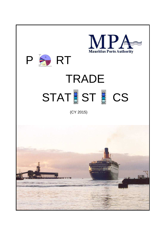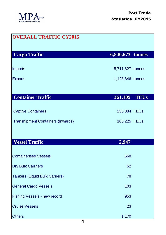

| <b>OVERALL TRAFFIC CY2015</b>            |                        |
|------------------------------------------|------------------------|
| <b>Cargo Traffic</b>                     | $6,840,673$ tonnes     |
| <b>Imports</b>                           | 5,711,827 tonnes       |
| <b>Exports</b>                           | 1,128,846 tonnes       |
|                                          |                        |
| <b>Container Traffic</b>                 | 361,109<br><b>TEUs</b> |
| <b>Captive Containers</b>                | 255,884 TEUs           |
|                                          |                        |
| <b>Transhipment Containers (Inwards)</b> | 105,225 TEUs           |
|                                          |                        |
| <b>Vessel Traffic</b>                    | 2,947                  |
| <b>Containerised Vessels</b>             | 568                    |
| <b>Dry Bulk Carrriers</b>                | 52                     |
| <b>Tankers (Liquid Bulk Carriers)</b>    | 78                     |
| <b>General Cargo Vessels</b>             | 103                    |
| <b>Fishing Vessels - new record</b>      | 953                    |
| <b>Cruise Vessels</b>                    | 23                     |
| <b>Others</b>                            | 1,170                  |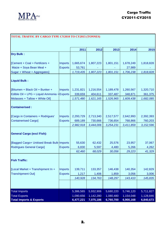

## **TOTAL TRAFFIC BY CARGO TYPE CY2010 TO CY2015 (TONNES)**

|                                             |                | 2011      | 2012      | 2013      | 2014      | 2015        |
|---------------------------------------------|----------------|-----------|-----------|-----------|-----------|-------------|
| <b>Dry Bulk:</b>                            |                |           |           |           |           |             |
| [Cement + Coal + Fertilizers +              | <b>Imports</b> | 1,665,674 | 1,807,223 | 1,801,151 | 1,678,249 | 1,818,828   |
| Maize + Soya Bean Meal +                    | <b>Exports</b> | 53,761    |           |           | 27,989    |             |
| Sugar + Wheat + Aggregates]                 |                | 1,719,435 | 1,807,223 | 1,801,151 | 1,706,238 | 1,818,828   |
|                                             |                |           |           |           |           |             |
| <b>Liquid Bulk:</b>                         |                |           |           |           |           |             |
| [Bitumen + Black Oil + Bunker +             | <b>Imports</b> | 1,231,821 | 1,216,554 | 1,189,478 | 1,260,567 | 1,320,710   |
| Edible Oil + LPG + Liquid Ammonia + Exports |                | 339,659   | 404,611   | 337,487   | 348,871   | 361,375     |
| Molasses + Tallow + White Oil]              |                | 1,571,480 | 1,621,165 | 1,526,965 | 1,609,438 | 1,682,085   |
|                                             |                |           |           |           |           |             |
| <b>Containerised:</b>                       |                |           |           |           |           |             |
|                                             |                |           |           |           |           |             |
| [Cargo in Containers + Rodrigues'           | <b>Imports</b> | 2,293,729 | 2,713,340 | 2,517,577 | 2,642,993 | 2,392,393   |
| <b>Containerised Cargo]</b>                 | <b>Exports</b> | 689,189   | 730,666   | 736,654   | 768,866   | 760,203     |
|                                             |                | 2,982,918 | 3,444,006 | 3,254,231 | 3,411,859 | 3, 152, 596 |
|                                             |                |           |           |           |           |             |
| <b>General Cargo (excl Fish):</b>           |                |           |           |           |           |             |
|                                             |                |           |           |           |           |             |
| [Bagged Cargo+ Unitised Break Bulk-Imports  |                | 55,630    | 62,432    | 25,576    | 23,957    | 37,067      |
| <b>Rodrigues General Cargo]</b>             | <b>Exports</b> | 6,830     | 5,597     | 4,480     | 5,266     | 4,262       |
|                                             |                | 62,460    | 68,029    | 30,056    | 29,223    | 41,329      |
| <b>Fish Traffic:</b>                        |                |           |           |           |           |             |
|                                             |                |           |           |           |           |             |
| [Local Market + Transhipment In +           | <b>Imports</b> | 139,711   | 133,357   | 146,438   | 140,354   | 142,829     |
| <b>Transhipment Out]</b>                    | <b>Exports</b> | 1,217     | 1,406     | 1,859     | 3,056     | 3,006       |
|                                             |                | 140,928   | 134,763   | 148,297   | 143,410   | 145,835     |
|                                             |                |           |           |           |           |             |
|                                             |                |           |           |           |           |             |
| <b>Total Imports</b>                        |                | 5,386,565 | 5,932,906 | 5,680,220 | 5,746,120 | 5,711,827   |
| <b>Total Exports</b>                        |                | 1,090,656 | 1,142,280 | 1,080,480 | 1,154,048 | 1,128,846   |
| <b>Total Imports &amp; Exports</b>          |                | 6,477,221 | 7,075,186 | 6,760,700 | 6,900,168 | 6,840,673   |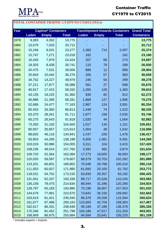

## Container Traffic CY1979 to CY2015

## **TOTAL CONTAINER TRAFFIC CY1979 TO CY2015 (TEUs)**

| Year         | <b>Captive* Containers</b> |                  |                    | <b>Transhipment Inwards Containers</b> | <b>Grand Total</b> |                    |                    |
|--------------|----------------------------|------------------|--------------------|----------------------------------------|--------------------|--------------------|--------------------|
|              | <b>Laden</b>               | <b>Empty</b>     | <b>Total</b>       | <b>Laden</b>                           | <b>Empty</b>       | <b>Total</b>       | <b>Containers</b>  |
| 1979         | 9,383                      | 4,392            | 13,775             |                                        |                    |                    | 13,775             |
| 1980         | 13,679                     | 7,033            | 20,712             |                                        |                    |                    | 20,712             |
| 1981         | 15,246                     | 8,031            | 23,277             | 1,383                                  | 714                | 2,097              | 25,374             |
| 1982         | 15,747                     | 7,271            | 23,018             | 162                                    |                    | 162                | 23,180             |
| 1983         | 16,445                     | 7,979            | 24,424             | 207                                    | 66                 | 273                | 24,697             |
| 1984         | 18,303                     | 8,438            | 26,741             | 110                                    | 79                 | 189                | 26,930             |
| 1985         | 20,475                     | 7,531            | 28,006             | 886                                    | 12                 | 898                | 28,904             |
| 1986         | 25,834                     | 10,442           | 36,276             | 326                                    | 57                 | 383                | 36,659             |
| 1987         | 34,752                     | 14,227           | 48,979             | 245                                    | 54                 | 299                | 49,278             |
| 1988         | 37,211                     | 17,877           | 55,088             | 561                                    | 27                 | 588                | 55,676             |
| 1989         | 40,917                     | 17,415           | 58,332             | 1,355                                  | 128                | 1,483              | 59,815             |
| 1990         | 43,135                     | 18,225           | 61,360             | 830                                    | 82                 | 912                | 62,272             |
| 1991         | 46,886                     | 21,395           | 68,281             | 1,868                                  | 127                | 1,995              | 70,276             |
| 1992         | 52,686                     | 24,477           | 77,163             | 2,967                                  | 124                | 3,091              | 80,254             |
| 1993         | 60,453                     | 26,360           | 86,813             | 1,448                                  | 74                 | 1,522              | 88,335             |
| 1994         | 63,370                     | 28,341           | 91,711             | 1,877                                  | 158                | 2,035              | 93,746             |
| 1995         | 65,275                     | 26,543           | 91,818             | 1,020                                  | 44                 | 1,064              | 92,882             |
| 1996         | 73,350                     | 31,150           | 104,500            | 1,017                                  | 134                | 1,151              | 105,651            |
| 1997         | 80,057                     | 35,857           | 115,914            | 1,004                                  | 38                 | 1,042              | 116,956            |
| 1998         | 88,825                     | 46,116           | 134,941            | 1,247                                  | 229                | 1,476              | 136,417            |
| 1999         | 93,903                     | 44,285           | 138,188            | 5,000                                  | 1,081              | 6,081              | 144,269            |
| 2000         | 103,019                    | 50,986           | 154,005            | 3,311                                  | 104                | 3,415              | 157,420            |
| 2001         | 108,236                    | 49,524           | 157,760            | 3,392                                  | 482                | 3,874              | 161,634            |
| 2002         | 109,720                    | 52,364           | 162,084            | 17,273                                 | 18,820             | 36,093             | 198,177            |
| 2003         | 120,020                    | 59,587           | 179,607            | 68,579                                 | 33,703             | 102,282            | 281,889            |
| 2004         | 123,201                    | 66,601           | 189,802            | 70,548                                 | 29,768             | 100,316            | 290,118            |
| 2005         | 111,053                    | 60,927           | 171,980            | 61,692                                 | 20,100             | 81,792             | 253,772            |
| 2006         | 118,531                    | 54,702           | 173,233            | 63,835                                 | 29,357             | 93,192             | 266,425            |
| 2007         | 131,001                    | 62,337           | 193,338            | 89,717                                 | 20,528             | 110,245            | 303,583            |
| 2008         | 136,159                    | 78,475           | 214,634            | 88,944                                 | 31,346             | 120,290            | 334,924            |
| 2009         | 128,797                    | 65,183           | 193,980            | 70,196                                 | 36,857             | 107,053            | 301,033            |
| 2010         | 144,679                    | 77,991           | 222,670            | 73,842                                 | 36,150             | 109,992            | 332,662            |
| 2011         | 153,619                    | 81,421           | 235,040            | 86,378                                 | 29,206             | 115,584            | 350,624            |
| 2012         | 161,677                    | 97,486           | 259,163            | 115,600                                | 42,704             | 158,304            | 417,467            |
| 2013<br>2014 | 162,617<br>170,346         | 86,331<br>81,452 | 248,948<br>251,798 | 99,189<br>104,186                      | 37,189<br>47,017   | 136,378<br>151,203 | 385,326<br>403,001 |
| 2015         | 168,909                    | 86,975           | 255,884            | 84,584                                 | 20,641             | 105,225            | 361,109            |

\* includes exports + imports